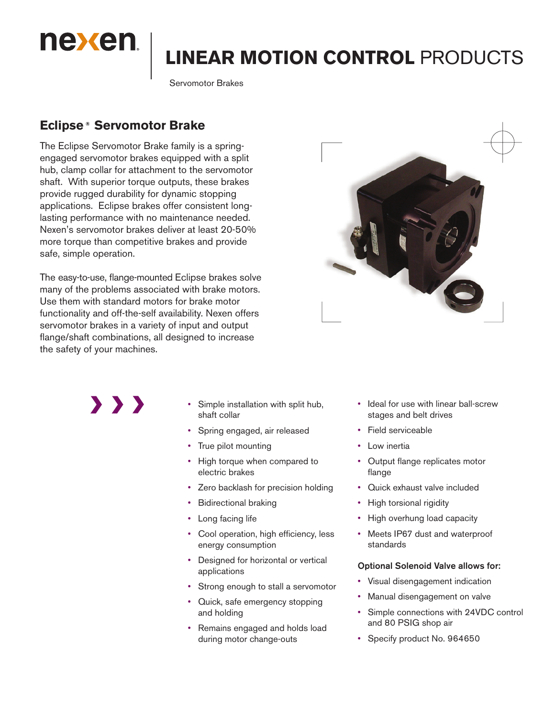

# **LINEAR MOTION CONTROL** PRODUCTS

Servomotor Brakes

# **Eclipse ® Servomotor Brake**

The Eclipse Servomotor Brake family is a springengaged servomotor brakes equipped with a split hub, clamp collar for attachment to the servomotor shaft. With superior torque outputs, these brakes provide rugged durability for dynamic stopping applications. Eclipse brakes offer consistent longlasting performance with no maintenance needed. Nexen's servomotor brakes deliver at least 20-50% more torque than competitive brakes and provide safe, simple operation.

The easy-to-use, flange-mounted Eclipse brakes solve many of the problems associated with brake motors. Use them with standard motors for brake motor functionality and off-the-self availability. Nexen offers servomotor brakes in a variety of input and output flange/shaft combinations, all designed to increase the safety of your machines.



 $\rightarrow$   $\rightarrow$   $\rightarrow$ 

- Simple installation with split hub, shaft collar
- Spring engaged, air released
- True pilot mounting
- High torque when compared to electric brakes
- Zero backlash for precision holding
- Bidirectional braking
- Long facing life
- Cool operation, high efficiency, less energy consumption
- Designed for horizontal or vertical applications
- Strong enough to stall a servomotor
- Quick, safe emergency stopping and holding
- Remains engaged and holds load during motor change-outs
- Ideal for use with linear ball-screw stages and belt drives
- Field serviceable
- Low inertia
- Output flange replicates motor flange
- Quick exhaust valve included
- High torsional rigidity
- High overhung load capacity
- Meets IP67 dust and waterproof standards

#### Optional Solenoid Valve allows for:

- Visual disengagement indication
- Manual disengagement on valve
- Simple connections with 24VDC control and 80 PSIG shop air
- Specify product No. 964650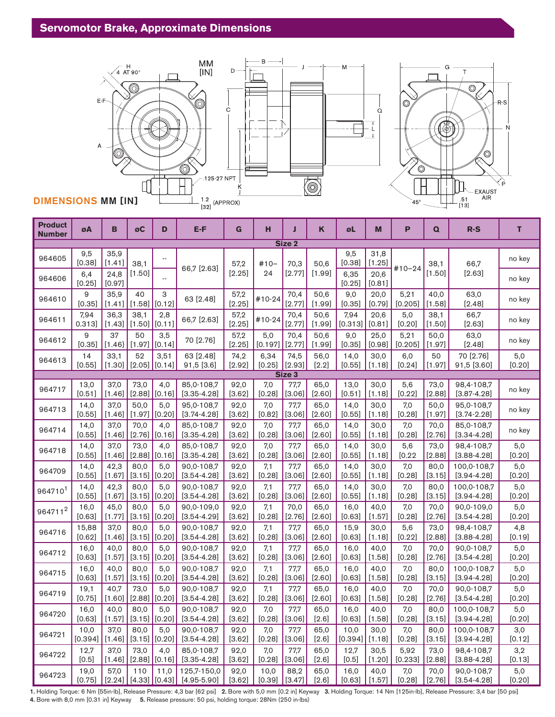

| <b>Product</b><br><b>Number</b> | øA               | в                | øC             | D                         | E-F                            | G                | н              | Л                | Κ                | øL              | M                | P               | Q                | $R-S$                         | T             |
|---------------------------------|------------------|------------------|----------------|---------------------------|--------------------------------|------------------|----------------|------------------|------------------|-----------------|------------------|-----------------|------------------|-------------------------------|---------------|
|                                 |                  |                  |                |                           |                                |                  |                | Size 2           |                  |                 |                  |                 |                  |                               |               |
| 964605                          | 9,5<br>[0.38]    | 35,9<br>[1.41]   | 38,1           | ٠.                        |                                | 57,2             | $#10-$         | 70,3             | 50,6             | 9,5<br>[0.38]   | 31,8<br>[1.25]   |                 | 38,1             | 66,7                          | no key        |
| 964606                          | 6,4<br>[0.25]    | 24,8<br>[0.97]   | [1.50]         |                           | 66,7 [2.63]                    | [2.25]           | 24             | $[2.77]$         | [1.99]           | 6,35<br>[0.25]  | 20,6<br>[0.81]   | $#10 - 24$      | $[1.50]$         | $[2.63]$                      | no key        |
| 964610                          | 9<br>[0.35]      | 35,9<br>[1.41]   | 40<br>[1.58]   | 3<br>[0.12]               | 63 [2.48]                      | 57,2<br>$[2.25]$ | #10-24         | 70,4<br>$[2.77]$ | 50,6<br>[1.99]   | 9,0<br>[0.35]   | 20,0<br>[0.79]   | 5,21<br>[0.205] | 40,0<br>[1.58]   | 63,0<br>$[2.48]$              | no key        |
| 964611                          | 7.94<br>0.313]   | 36.3<br>[1.43]   | 38.1<br>[1.50] | 2,8<br>[0.11]             | 66,7 [2.63]                    | 57,2<br>$[2.25]$ | #10-24         | 70.4<br>$[2.77]$ | 50.6<br>[1.99]   | 7,94<br>[0.313] | 20,6<br>[0.81]   | 5.0<br>[0.20]   | 38,1<br>[1.50]   | 66,7<br>$[2.63]$              | no key        |
| 964612                          | 9<br>[0.35]      | 37<br>[1.46]     | 50<br>[1.97]   | 3,5<br>[0.14]             | 70 [2.76]                      | 57,2<br>[2.25]   | 5,0<br>[0.197] | 70,4<br>[2.77]   | 50,6<br>[1.99]   | 9,0<br>[0.35]   | 25,0<br>[0.98]   | 5,21<br>[0.205] | 50,0<br>[1.97]   | 63,0<br>[2.48]                | no key        |
| 964613                          | 14               | 33,1             | 52             | 3,51                      | 63 [2.48]                      | 74,2             | 6,34           | 74,5             | 56,0             | 14,0            | 30,0             | 6,0             | 50               | 70 [2.76]                     | 5,0           |
|                                 | [0.55]           | $[1.30]$         | [2.05]         | [0.14]                    | $91,5$ [3.6]                   | $[2.92]$         | [0.25]         | [2.93]           | [2.2]            | [0.55]          | [1.18]           | $[0.24]$        | [1.97]           | 91,5 [3.60]                   | [0.20]        |
| Size 3                          |                  |                  |                |                           |                                |                  |                |                  |                  |                 |                  |                 |                  |                               |               |
| 964717                          | 13,0<br>[0.51]   | 37,0<br>$[1.46]$ | 73,0<br>[2.88] | 4,0<br>[0.16]             | 85,0-108,7<br>$[3.35 - 4.28]$  | 92,0<br>[3.62]   | 7,0<br>[0.28]  | 77,7<br>[3.06]   | 65,0<br>$[2.60]$ | 13,0<br>[0.51]  | 30,0<br>[1.18]   | 5,6<br>[0.22]   | 73,0<br>[2.88]   | 98,4-108,7<br>$[3.87 - 4.28]$ | no key        |
| 964713                          | 14,0<br>[0.55]   | 37,0<br>[1.46]   | 50,0<br>[1.97] | 5,0<br>[0.20]             | 95,0-108,7<br>$[3.74 - 4.28]$  | 92,0<br>[3.62]   | 7,0<br>[0.82]  | 77,7<br>[3.06]   | 65,0<br>[2.60]   | 14,0<br>[0.55]  | 30,0<br>[1.18]   | 7,0<br>[0.28]   | 50,0<br>[1.97]   | 95,0-108,7<br>$[3.74 - 2.28]$ | no key        |
| 964714                          | 14,0<br>[0.55]   | 37,0<br>[1.46]   | 70,0<br>[2.76] | 4,0<br>[0.16]             | 85,0-108,7<br>$[3.35 - 4.28]$  | 92,0<br>[3.62]   | 7,0<br>[0.28]  | 77,7<br>[3.06]   | 65,0<br>[2.60]   | 14,0<br>[0.55]  | 30,0<br>[1.18]   | 7,0<br>[0.28]   | 70,0<br>[2.76]   | 85,0-108,7<br>$[3.34 - 4.28]$ | no key        |
| 964718                          | 14,0             | 37,0             | 73,0           | 4,0                       | 85,0-108,7                     | 92,0             | 7,0            | 77,7             | 65,0             | 14,0            | 30,0             | 5,6             | 73,0             | 98,4-108,7                    | 5,0           |
|                                 | [0.55]           | [1.46]           | [2.88]         | [0.16]                    | $[3.35 - 4.28]$                | [3.62]           | [0.28]         | [3.06]           | $[2.60]$         | [0.55]          | [1.18]           | [0.22]          | [2.88]           | $[3.88 - 4.28]$               | [0.20]        |
| 964709                          | 14,0             | 42,3             | 80.0           | 5.0                       | 90,0-108,7                     | 92,0             | 7,1            | 77,7             | 65,0             | 14,0            | 30,0             | 7,0             | 80,0             | 100,0-108,7                   | 5,0           |
|                                 | [0.55]           | [1.67]           | [3.15]         | [0.20]                    | $[3.54 - 4.28]$                | $[3.62]$         | [0.28]         | [3.06]           | $[2.60]$         | [0.55]          | [1.18]           | [0.28]          | [3.15]           | $[3.94 - 4.28]$               | [0.20]        |
| 964710 <sup>1</sup>             | 14,0             | 42,3             | 80,0           | 5,0                       | 90,0-108,7                     | 92,0             | 7,1            | 77,7             | 65,0             | 14,0            | 30,0             | 7,0             | 80,0             | 100,0-108,7                   | 5,0           |
|                                 | [0.55]           | [1.67]           | [3.15]         | [0.20]                    | $[3.54 - 4.28]$                | [3.62]           | [0.28]         | [3.06]           | [2.60]           | [0.55]          | [1.18]           | [0.28]          | [3.15]           | $[3.94 - 4.28]$               | [0.20]        |
| 964711 <sup>2</sup>             | 16,0             | 45,0             | 80,0           | 5,0                       | 90,0-109,0                     | 92,0             | 7,1            | 70,0             | 65,0             | 16,0            | 40,0             | 7,0             | 70,0             | 90,0-109,0                    | 5,0           |
|                                 | [0.63]           | $[1.77]$         | [3.15]         | [0.20]                    | $[3.54 - 4.29]$                | [3.62]           | [0.28]         | [2.76]           | $[2.60]$         | [0.63]          | [1.57]           | [0.28]          | [2.76]           | $[3.54 - 4.28]$               | [0.20]        |
| 964716                          | 15,88            | 37,0             | 80,0           | 5,0                       | 90,0-108,7                     | 92,0             | 7,1            | 77,7             | 65,0             | 15,9            | 30,0             | 5,6             | 73,0             | 98,4-108,7                    | 4,8           |
|                                 | [0.62]           | [1.46]           | [3.15]         | $[0.20]$                  | $[3.54 - 4.28]$                | [3.62]           | [0.28]         | [3.06]           | [2.60]           | [0.63]          | [1.18]           | [0.22]          | [2.88]           | $[3.88 - 4.28]$               | [0.19]        |
| 964712                          | 16,0             | 40,0             | 80,0           | 5,0                       | 90,0-108,7                     | 92,0             | 7,1            | 77,7             | 65,0             | 16,0            | 40,0             | 7,0             | 70,0             | 90,0-108,7                    | 5,0           |
|                                 | [0.63]           | [1.57]           | [3.15]         | [0.20]                    | $[3.54 - 4.28]$                | $[3.62]$         | [0.28]         | [3.06]           | [2.60]           | [0.63]          | [1.58]           | [0.28]          | [2.76]           | $[3.54 - 4.28]$               | [0.20]        |
| 964715                          | 16,0             | 40.0             | 80.0           | 5,0                       | 90,0-108,7                     | 92,0             | 7,1            | 77,7             | 65,0             | 16,0            | 40,0             | 7,0             | 80.0             | 100,0-108,7                   | 5,0           |
|                                 | [0.63]           | [1.57]           | [3.15]         | [0.20]                    | $[3.54 - 4.28]$                | $[3.62]$         | [0.28]         | [3.06]           | $[2.60]$         | [0.63]          | [1.58]           | [0.28]          | [3.15]           | $[3.94 - 4.28]$               | [0.20]        |
| 964719                          | 19,1             | 40.7             | 73,0           | 5,0                       | 90,0-108,7                     | 92,0             | 7,1            | 77,7             | 65,0             | 16,0            | 40,0             | 7,0             | 70.0             | 90,0-108,7                    | 5,0           |
|                                 | [0.75]           | [1.60]           | [2.88]         | [0.20]                    | $[3.54 - 4.28]$                | [3.62]           | [0.28]         | [3.06]           | [2.60]           | [0.63]          | [1.58]           | [0.28]          | [2.76]           | $[3.54 - 4.28]$               | [0.20]        |
| 964720                          | 16,0             | 40.0             | 80.0           | 5,0                       | 90,0-108,7                     | 92,0             | 7,0            | 77,7             | 65,0             | 16,0            | 40,0             | 7,0             | 80,0             | 100,0-108,7                   | 5,0           |
|                                 | [0.63]           | $[1.57]$         | [3.15]         | [0.20]                    | $[3.54 - 4.28]$                | $[3.62]$         | [0.28]         | [3.06]           | $[2.6]$          | [0.63]          | [1.58]           | [0.28]          | [3.15]           | $[3.94 - 4.28]$               | [0.20]        |
| 964721                          | 10,0             | 37,0             | 80,0           | 5,0                       | 90,0-108,7                     | 92,0             | 7,0            | 77,7             | 65,0             | 10,0            | 30,0             | 7,0             | 80,0             | 100,0-108,7                   | 3,0           |
|                                 | [0.394]          | [1.46]           | [3.15]         | [0.20]                    | $[3.54 - 4.28]$                | [3.62]           | [0.28]         | [3.06]           | $[2.6]$          | [0.394]         | [1.18]           | [0.28]          | [3.15]           | $[3.94 - 4.28]$               | [0.12]        |
| 964722                          | 12,7             | 37,0             | 73,0           | 4,0                       | 85,0-108,7                     | 92,0             | 7,0            | 77,7             | 65,0             | 12,7            | 30,5             | 5,92            | 73,0             | 98,4-108,7                    | 3,2           |
|                                 | [0.5]            | [1.46]           | $[2.88]$       | [0.16]                    | $[3.35 - 4.28]$                | $[3.62]$         | [0.28]         | [3.06]           | $[2.6]$          | [0.5]           | [1.20]           | [0.233]         | [2.88]           | $[3.88 - 4.28]$               | [0.13]        |
| 964723                          | 19.0<br>${0.75}$ | 57.0<br>$[2.24]$ | 110            | 11.0<br>$[4.33]$ $[0.43]$ | 125.7-150.0<br>$[4.95 - 5.90]$ | 92,0<br>[3.62]   | 10.0<br>[0.39] | 88,2<br>$[3.47]$ | 65,0<br>[2.6]    | 16,0<br>[0.63]  | 40.0<br>$[1.57]$ | 7.0<br>[0.28]   | 70.0<br>$[2.76]$ | 90,0-108,7<br>$[3.54 - 4.28]$ | 5,0<br>[0.20] |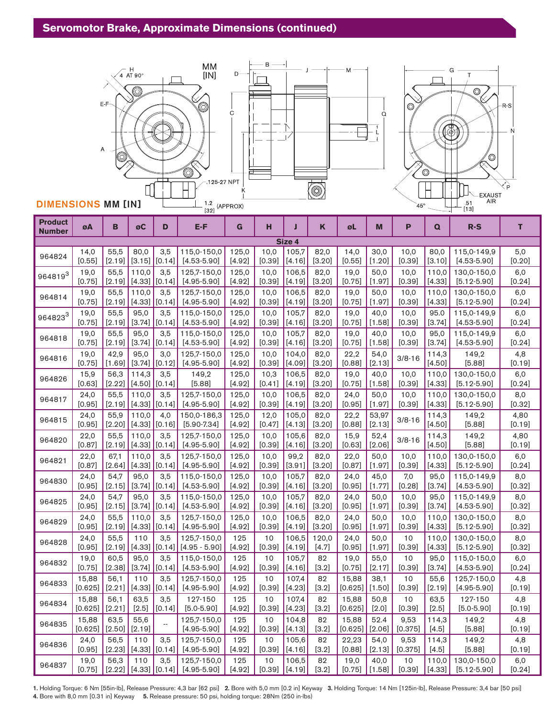

# DIMENSIONS MM [IN]

| <b>Product</b><br><b>Number</b> | øΑ               | в                | øC              | D             | E-F                            | G                 | н                | Π               | K              | øL               | M                | P               | Q               | $R-S$           | T              |
|---------------------------------|------------------|------------------|-----------------|---------------|--------------------------------|-------------------|------------------|-----------------|----------------|------------------|------------------|-----------------|-----------------|-----------------|----------------|
|                                 |                  |                  |                 |               |                                |                   |                  | Size 4          |                |                  |                  |                 |                 |                 |                |
| 964824                          | 14,0             | 55,5             | 80,0            | 3,5           | 115,0-150,0                    | 125,0             | 10,0             | 105,7           | 82,0           | 14,0             | 30,0             | 10,0            | 80,0            | 115,0-149,9     | 5,0            |
|                                 | [0.55]           | [2.19]           | [3.15]          | [0.14]        | $[4.53 - 5.90]$                | [4.92]            | [0.39]           | [4.16]          | [3.20]         | [0.55]           | $[1.20]$         | [0.39]          | [3.10]          | $[4.53 - 5.90]$ | [0.20]         |
| 964819 <sup>3</sup>             | 19,0             | 55,5             | 110,0           | 3,5           | 125,7-150,0                    | 125,0             | 10,0             | 106,5           | 82,0           | 19,0             | 50,0             | 10,0            | 110,0           | 130,0-150,0     | 6,0            |
|                                 | [0.75]           | [2.19]           | [4.33]          | [0.14]        | $[4.95 - 5.90]$                | [4.92]            | [0.39]           | [4.19]          | [3.20]         | [0.75]           | $[1.97]$         | [0.39]          | [4.33]          | $[5.12 - 5.90]$ | $[0.24]$       |
| 964814                          | 19,0             | 55,5             | 110,0           | 3,5           | 125,7-150,0                    | 125,0             | 10,0             | 106,5           | 82,0           | 19,0             | 50,0             | 10,0            | 110,0           | 130,0-150,0     | 6,0            |
|                                 | [0.75]           | [2.19]           | [4.33]          | [0.14]        | $[4.95 - 5.90]$                | [4.92]            | [0.39]           | [4.19]          | [3.20]         | [0.75]           | $[1.97]$         | [0.39]          | [4.33]          | $[5.12 - 5.90]$ | $[0.24]$       |
| 964823 <sup>3</sup>             | 19,0             | 55,5             | 95,0            | 3,5           | 115,0-150,0                    | 125,0             | 10,0             | 105,7           | 82,0           | 19,0             | 40,0             | 10,0            | 95.0            | 115,0-149,9     | 6,0            |
|                                 | [0.75]           | $[2.19]$         | [3.74]          | [0.14]        | $[4.53 - 5.90]$                | [4.92]            | [0.39]           | [4.16]          | [3.20]         | [0.75]           | [1.58]           | [0.39]          | [3.74]          | $[4.53 - 5.90]$ | [0.24]         |
| 964818                          | 19,0             | 55,5             | 95,0            | 3,5           | 115,0-150,0                    | 125,0             | 10,0             | 105,7           | 82,0           | 19,0             | 40,0             | 10,0            | 95,0            | 115,0-149,9     | 6,0            |
|                                 | [0.75]           | [2.19]           | [3.74]          | [0.14]        | $[4.53 - 5.90]$                | [4.92]            | [0.39]           | [4.16]          | [3.20]         | [0.75]           | [1.58]           | [0.39]          | [3.74]          | $[4.53 - 5.90]$ | $[0.24]$       |
| 964816                          | 19,0<br>[0.75]   | 42,9<br>[1.69]   | 95.0<br>[3.74]  | 3,0<br>[0.12] | 125,7-150,0<br>$[4.95 - 5.90]$ | 125,0<br>[4.92]   | 10,0<br>[0.39]   | 104,0<br>[4.09] | 82,0<br>[3.20] | 22,2<br>[0.88]   | 54,0<br>[2.13]   | $3/8 - 16$      | 114,3<br>[4.50] | 149,2<br>[5.88] | 4,8<br>[0.19]  |
| 964826                          | 15,9             | 56,3             | 114,3           | 3,5           | 149,2                          | 125,0             | 10,3             | 106.5           | 82,0           | 19,0             | 40,0             | 10,0            | 110,0           | 130,0-150,0     | 6,0            |
|                                 | [0.63]           | [2.22]           | $[4.50]$        | [0.14]        | [5.88]                         | $[4.92]$          | [0.41]           | [4.19]          | [3.20]         | [0.75]           | [1.58]           | [0.39]          | [4.33]          | $[5.12 - 5.90]$ | [0.24]         |
| 964817                          | 24,0             | 55,5             | 110,0           | 3,5           | 125,7-150,0                    | 125,0             | 10,0             | 106.5           | 82,0           | 24,0             | 50,0             | 10,0            | 110,0           | 130,0-150,0     | 8,0            |
|                                 | [0.95]           | [2.19]           | [4.33]          | [0.14]        | $[4.95 - 5.90]$                | [4.92]            | [0.39]           | [4.19]          | [3.20]         | [0.95]           | [1.97]           | [0.39]          | $[4.33]$        | $[5.12 - 5.90]$ | [0.32]         |
| 964815                          | 24,0<br>[0.95]   | 55,9<br>$[2.20]$ | 110,0<br>[4.33] | 4,0<br>[0.16] | 150,0-186,3<br>$[5.90 - 7.34]$ | 125,0<br>[4.92]   | 12,0<br>$[0.47]$ | 105,0<br>[4.13] | 82,0<br>[3.20] | 22,2<br>[0.88]   | 53,97<br>[2.13]  | $3/8 - 16$      | 114,3<br>[4.50] | 149,2<br>[5.88] | 4,80<br>[0.19] |
| 964820                          | 22,0<br>[0.87]   | 55,5<br>[2.19]   | 110,0<br>[4.33] | 3,5<br>[0.14] | 125,7-150,0<br>$[4.95 - 5.90]$ | 125,0<br>$[4.92]$ | 10,0<br>[0.39]   | 105,6<br>[4.16] | 82,0<br>[3.20] | 15,9<br>[0.63]   | 52,4<br>[2.06]   | $3/8 - 16$      | 114,3<br>[4.50] | 149,2<br>[5.88] | 4,80<br>[0.19] |
| 964821                          | 22,0             | 67,1             | 110,0           | 3,5           | 125,7-150,0                    | 125,0             | 10,0             | 99,2            | 82,0           | 22,0             | 50,0             | 10,0            | 110,0           | 130,0-150,0     | 6,0            |
|                                 | [0.87]           | $[2.64]$         | $[4.33]$        | [0.14]        | $[4.95 - 5.90]$                | [4.92]            | [0.39]           | [3.91]          | $[3.20]$       | [0.87]           | $[1.97]$         | [0.39]          | [4.33]          | $[5.12 - 5.90]$ | [0.24]         |
| 964830                          | 24,0             | 54,7             | 95,0            | 3,5           | 115,0-150,0                    | 125,0             | 10,0             | 105,7           | 82,0           | 24,0             | 45,0             | 7,0             | 95,0            | 115,0-149,9     | 8,0            |
|                                 | [0.95]           | [2.15]           | [3.74]          | [0.14]        | $[4.53 - 5.90]$                | [4.92]            | [0.39]           | [4.16]          | [3.20]         | [0.95]           | [1.77]           | [0.28]          | [3.74]          | $[4.53 - 5.90]$ | [0.32]         |
| 964825                          | 24,0             | 54,7             | 95.0            | 3,5           | 115,0-150,0                    | 125,0             | 10,0             | 105,7           | 82,0           | 24,0             | 50,0             | 10,0            | 95,0            | 115,0-149,9     | 8,0            |
|                                 | [0.95]           | [2.15]           | [3.74]          | [0.14]        | $[4.53 - 5.90]$                | [4.92]            | [0.39]           | [4.16]          | [3.20]         | [0.95]           | $[1.97]$         | [0.39]          | [3.74]          | $[4.53 - 5.90]$ | [0.32]         |
| 964829                          | 24,0             | 55,5             | 110,0           | 3,5           | 125,7-150,0                    | 125,0             | 10,0             | 106,5           | 82,0           | 24,0             | 50,0             | 10,0            | 110,0           | 130,0-150,0     | 8,0            |
|                                 | [0.95]           | [2.19]           | $[4.33]$        | [0.14]        | $[4.95 - 5.90]$                | [4.92]            | [0.39]           | [4.19]          | [3.20]         | [0.95]           | [1.97]           | [0.39]          | [4.33]          | $[5.12 - 5.90]$ | [0.32]         |
| 964828                          | 24,0             | 55,5             | 110             | 3,5           | 125,7-150,0                    | 125               | 10               | 106,5           | 120,0          | 24,0             | 50,0             | 10              | 110.0           | 130,0-150,0     | 8,0            |
|                                 | [0.95]           | [2.19]           | [4.33]          | [0.14]        | $[4.95 - 5.90]$                | [4.92]            | [0.39]           | [4.19]          | [4.7]          | [0.95]           | [1.97]           | [0.39]          | [4.33]          | $[5.12 - 5.90]$ | [0.32]         |
| 964832                          | 19,0             | 60,5             | 95,0            | 3,5           | 115,0-150,0                    | 125               | 10               | 105,7           | 82             | 19,0             | 55,0             | 10              | 95,0            | 115,0-150,0     | 6,0            |
|                                 | [0.75]           | [2.38]           | $[3.74]$        | [0.14]        | $[4.53 - 5.90]$                | [4.92]            | [0.39]           | [4.16]          | [3.2]          | [0.75]           | [2.17]           | [0.39]          | [3.74]          | $[4.53 - 5.90]$ | $[0.24]$       |
| 964833                          | 15,88            | 56,1             | 110             | 3,5           | 125,7-150,0                    | 125               | 10               | 107,4           | 82             | 15,88            | 38,1             | 10              | 55,6            | 125,7-150,0     | 4,8            |
|                                 | [0.625]          | [2.21]           | [4.33]          | [0.14]        | $[4.95 - 5.90]$                | [4.92]            | [0.39]           | [4.23]          | $[3.2]$        | [0.625]          | [1.50]           | [0.39]          | [2.19]          | $[4.95 - 5.90]$ | [0.19]         |
| 964834                          | 15,88            | 56,1             | 63,5            | 3,5           | 127-150                        | 125               | 10               | 107,4           | 82             | 15,88            | 50,8             | 10              | 63,5            | 127-150         | 4,8            |
|                                 | [0.625]          | [2.21]           | $[2.5]$         | [0.14]        | $[5.0 - 5.90]$                 | [4.92]            | [0.39]           | [4.23]          | [3.2]          | [0.625]          | $[2.0]$          | [0.39]          | $[2.5]$         | $[5.0 - 5.90]$  | [0.19]         |
| 964835                          | 15,88<br>[0.625] | 63,5<br>$[2.50]$ | 55,6<br>[2.19]  | ٠.            | 125,7-150,0<br>$[4.95 - 5.90]$ | 125<br>[4.92]     | 10<br>[0.39]     | 104,8<br>[4.13] | 82<br>[3.2]    | 15,88<br>[0.625] | 52.4<br>$[2.06]$ | 9,53<br>[0.375] | 114,3<br>[4.5]  | 149,2<br>[5.88] | 4,8<br>[0.19]  |
| 964836                          | 24,0             | 56,5             | 110             | 3,5           | 125,7-150,0                    | 125               | 10               | 105,6           | 82             | 22,23            | 54,0             | 9,53            | 114,3           | 149,2           | 4,8            |
|                                 | [0.95]           | $[2.23]$         | [4.33]          | [0.14]        | $[4.95 - 5.90]$                | [4.92]            | [0.39]           | [4.16]          | [3.2]          | [0.88]           | [2.13]           | [0.375]         | [4.5]           | [5.88]          | [0.19]         |
| 964837                          | 19,0             | 56,3             | 110             | 3,5           | 125,7-150,0                    | 125               | 10               | 106,5           | 82             | 19,0             | 40,0             | 10              | 110,0           | 130,0-150,0     | 6,0            |
|                                 | [0.75]           | [2.22]           | [4.33]          | [0.14]        | $[4.95 - 5.90]$                | [4.92]            | [0.39]           | [4.19]          | $[3.2]$        | [0.75]           | [1.58]           | [0.39]          | [4.33]          | $[5.12 - 5.90]$ | [0.24]         |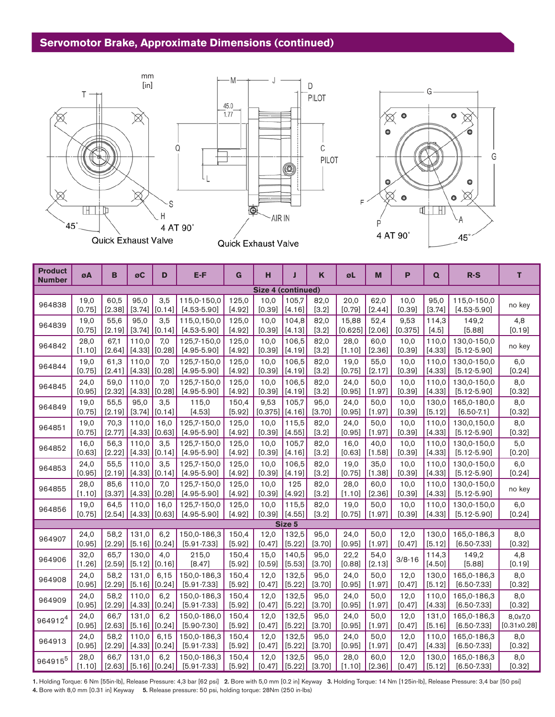# **Servomotor Brake, Approximate Dimensions (continued)**



| <b>Product</b><br><b>Number</b> | øΑ             | B              | øC                         | D             | E-F                            | G               | н                  | Л               | K                | øL             | M              | P              | Q               | $R-S$                          | т             |
|---------------------------------|----------------|----------------|----------------------------|---------------|--------------------------------|-----------------|--------------------|-----------------|------------------|----------------|----------------|----------------|-----------------|--------------------------------|---------------|
|                                 |                |                |                            |               |                                |                 | Size 4 (continued) |                 |                  |                |                |                |                 |                                |               |
| 964838                          | 19,0<br>[0.75] | 60.5<br>[2.38] | 95.0<br>[3.74]             | 3,5<br>[0.14] | 115,0-150,0<br>$[4.53 - 5.90]$ | 125,0<br>[4.92] | 10,0<br>[0.39]     | 105,7<br>[4.16] | 82,0<br>$[3.2]$  | 20,0<br>[0.79] | 62,0<br>[2.44] | 10,0<br>[0.39] | 95.0<br>[3.74]  | 115,0-150,0<br>$[4.53 - 5.90]$ | no key        |
| 964839                          | 19,0           | 55,6           | 95.0                       | 3,5           | 115,0,150,0                    | 125,0           | 10.0               | 104,8           | 82,0             | 15,88          | 52,4           | 9,53           | 114,3           | 149,2                          | 4,8           |
|                                 | [0.75]         | [2.19]         | [3.74]                     | [0.14]        | $[4.53 - 5.90]$                | [4.92]          | [0.39]             | [4.13]          | $[3.2]$          | [0.625]        | [2.06]         | [0.375]        | $[4.5]$         | [5.88]                         | [0.19]        |
| 964842                          | 28,0<br>[1.10] | 67,1<br>[2.64] | 110,0<br>[4.33]            | 7,0<br>[0.28] | 125,7-150,0<br>$[4.95 - 5.90]$ | 125,0<br>[4.92] | 10,0<br>[0.39]     | 106,5<br>[4.19] | 82,0<br>[3.2]    | 28,0<br>[1.10] | 60,0<br>[2.36] | 10,0<br>[0.39] | 110,0<br>[4.33] | 130,0-150,0<br>$[5.12 - 5.90]$ | no key        |
| 964844                          | 19,0           | 61,3           | 110,0                      | 7,0           | 125,7-150,0                    | 125,0           | 10,0               | 106,5           | 82,0             | 19,0           | 55,0           | 10,0           | 110,0           | 130,0-150,0                    | 6,0           |
|                                 | [0.75]         | $[2.41]$       | [4.33]                     | [0.28]        | $[4.95 - 5.90]$                | [4.92]          | [0.39]             | [4.19]          | [3.2]            | [0.75]         | [2.17]         | [0.39]         | [4.33]          | $[5.12 - 5.90]$                | [0.24]        |
| 964845                          | 24,0           | 59.0           | 110.0                      | 7.0           | 125,7-150,0                    | 125,0           | 10,0               | 106,5           | 82,0             | 24,0           | 50,0           | 10,0           | 110,0           | 130,0-150,0                    | 8,0           |
|                                 | [0.95]         | [2.32]         | [4.33]                     | [0.28]        | $[4.95 - 5.90]$                | [4.92]          | [0.39]             | [4.19]          | $[3.2]$          | [0.95]         | [1.97]         | [0.39]         | [4.33]          | $[5.12 - 5.90]$                | [0.32]        |
| 964849                          | 19,0           | 55,5           | 95,0                       | 3,5           | 115,0                          | 150,4           | 9,53               | 105,7           | 95,0             | 24,0           | 50,0           | 10,0           | 130,0           | 165,0-180,0                    | 8,0           |
|                                 | [0.75]         | [2.19]         | [3.74]                     | [0.14]        | [4.53]                         | [5.92]          | [0.375]            | [4.16]          | [3.70]           | [0.95]         | [1.97]         | [0.39]         | [5.12]          | $[6.50 - 7.1]$                 | [0.32]        |
| 964851                          | 19,0           | 70,3           | 110,0                      | 16,0          | 125,7-150,0                    | 125,0           | 10,0               | 115,5           | 82,0             | 24,0           | 50,0           | 10,0           | 110,0           | 130,0,150,0                    | 8,0           |
|                                 | [0.75]         | [2.77]         | [4.33]                     | [0.63]        | $[4.95 - 5.90]$                | [4.92]          | [0.39]             | [4.55]          | $[3.2]$          | [0.95]         | [1.97]         | [0.39]         | [4.33]          | $[5.12 - 5.90]$                | [0.32]        |
| 964852                          | 16,0           | 56,3           | 110,0                      | 3,5           | 125,7-150,0                    | 125,0           | 10,0               | 105,7           | 82,0             | 16,0           | 40,0           | 10,0           | 110,0           | 130,0-150,0                    | 5,0           |
|                                 | [0.63]         | [2.22]         | [4.33]                     | [0.14]        | $[4.95 - 5.90]$                | [4.92]          | [0.39]             | [4.16]          | $[3.2]$          | [0.63]         | [1.58]         | [0.39]         | [4.33]          | $[5.12 - 5.90]$                | [0.20]        |
| 964853                          | 24,0           | 55,5           | 110,0                      | 3,5           | 125,7-150,0                    | 125,0           | 10,0               | 106,5           | 82,0             | 19,0           | 35,0           | 10,0           | 110,0           | 130,0-150,0                    | 6,0           |
|                                 | [0.95]         | [2.19]         | [4.33]                     | [0.14]        | $[4.95 - 5.90]$                | [4.92]          | [0.39]             | [4.19]          | [3.2]            | [0.75]         | [1.38]         | [0.39]         | [4.33]          | $[5.12 - 5.90]$                | [0.24]        |
| 964855                          | 28,0<br>[1.10] | 85,6<br>[3.37] | 110,0<br>[4.33]            | 7,0<br>[0.28] | 125,7-150,0<br>$[4.95 - 5.90]$ | 125,0<br>[4.92] | 10,0<br>[0.39]     | 125<br>[4.92]   | 82,0<br>$[3.2]$  | 28,0<br>[1.10] | 60,0<br>[2.36] | 10,0<br>[0.39] | 110,0<br>[4.33] | 130,0-150,0<br>$[5.12 - 5.90]$ | no key        |
| 964856                          | 19,0           | 64,5           | 110,0                      | 16,0          | 125,7-150,0                    | 125,0           | 10,0               | 115,5           | 82,0             | 19,0           | 50,0           | 10,0           | 110,0           | 130,0-150,0                    | 6,0           |
|                                 | [0.75]         | [2.54]         | (4.33)                     | [0.63]        | $[4.95 - 5.90]$                | [4.92]          | [0.39]             | [4.55]          | $[3.2]$          | [0.75]         | [1.97]         | [0.39]         | [4.33]          | $[5.12 - 5.90]$                | [0.24]        |
|                                 |                |                |                            |               |                                |                 |                    | Size 5          |                  |                |                |                |                 |                                |               |
| 964907                          | 24,0<br>[0.95] | 58,2<br>[2.29] | 131,0<br>$[5.16]$ $[0.24]$ | 6,2           | 150,0-186,3<br>$[5.91 - 7.33]$ | 150,4<br>[5.92] | 12,0<br>[0.47]     | 132,5<br>[5.22] | 95.0<br>[3.70]   | 24,0<br>[0.95] | 50,0<br>[1.97] | 12,0<br>[0.47] | 130,0<br>[5.12] | 165,0-186,3<br>$[6.50 - 7.33]$ | 8,0<br>[0.32] |
| 964906                          | 32,0<br>[1.26] | 65,7<br>[2.59] | 130,0<br>[5.12]            | 4,0<br>[0.16] | 215,0<br>[8.47]                | 150,4<br>[5.92] | 15,0<br>[0.59]     | 140,5<br>[5.53] | 95,0<br>[3.70]   | 22,2<br>[0.88] | 54,0<br>[2.13] | $3/8 - 16$     | 114,3<br>[4.50] | 149,2<br>[5.88]                | 4,8<br>[0.19] |
| 964908                          | 24,0           | 58,2           | 131,0                      | 6,15          | 150,0-186,3                    | 150,4           | 12,0               | 132,5           | 95,0             | 24,0           | 50,0           | 12,0           | 130,0           | 165,0-186,3                    | 8,0           |
|                                 | [0.95]         | [2.29]         | [5.16]                     | [0.24]        | $[5.91 - 7.33]$                | [5.92]          | [0.47]             | [5.22]          | [3.70]           | [0.95]         | [1.97]         | [0.47]         | [5.12]          | $[6.50 - 7.33]$                | [0.32]        |
| 964909                          | 24,0           | 58,2           | 110,0                      | 6,2           | 150,0-186,3                    | 150,4           | 12,0               | 132,5           | 95,0             | 24,0           | 50,0           | 12,0           | 110,0           | 165,0-186,3                    | 8,0           |
|                                 | [0.95]         | [2.29]         | [4.33]                     | [0.24]        | $[5.91 - 7.33]$                | [5.92]          | [0.47]             | [5.22]          | [3.70]           | [0.95]         | [1.97]         | [0.47]         | [4.33]          | $[6.50 - 7.33]$                | [0.32]        |
| 964912 <sup>4</sup>             | 24,0           | 66,7           | 131,0                      | 6,2           | 150,0-186,0                    | 150,4           | 12,0               | 132,5           | 95,0             | 24,0           | 50,0           | 12,0           | 131,0           | 165,0-186,3                    | 8,0x7,0       |
|                                 | [0.95]         | [2.63]         | [5.16]                     | [0.24]        | $[5.90 - 7.30]$                | [5.92]          | [0.47]             | [5.22]          | [3.70]           | [0.95]         | [1.97]         | [0.47]         | [5.16]          | $[6.50 - 7.33]$                | [0.31x0.28]   |
| 964913                          | 24,0           | 58,2           | 110,0                      | 6,15          | 150,0-186,3                    | 150,4           | 12,0               | 132,5           | 95,0             | 24,0           | 50,0           | 12,0           | 110,0           | 165,0-186,3                    | 8,0           |
|                                 | [0.95]         | [2.29]         | [4.33]                     | [0.24]        | $[5.91 - 7.33]$                | [5.92]          | [0.47]             | [5.22]          | [3.70]           | [0.95]         | [1.97]         | [0.47]         | [4.33]          | $[6.50 - 7.33]$                | [0.32]        |
| 964915 <sup>5</sup>             | 28,0<br>[1.10] | 66,7           | 131,0<br>$[2.63]$ [5.16]   | 6.2<br>[0.24] | 150,0-186,3<br>$[5.91 - 7.33]$ | 150,4<br>[5.92] | 12,0<br>[0.47]     | 132,5<br>[5.22] | 95,0<br>$[3.70]$ | 28,0<br>[1.10] | 60,0<br>[2.36] | 12,0<br>[0.47] | 130,0<br>[5.12] | 165,0-186,3<br>$[6.50 - 7.33]$ | 8,0<br>[0.32] |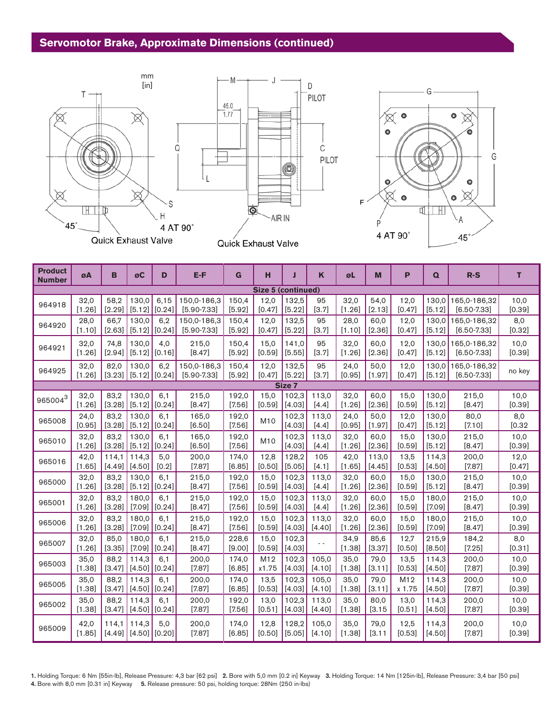## **Servomotor Brake, Approximate Dimensions (continued)**





| <b>Product</b><br><b>Number</b> | øΑ             | B               | øC                         | D              | $E-F$                          | G               | н                  | J               | K                | øL             | M              | P              | $\Omega$        | $R-S$                                 | T              |
|---------------------------------|----------------|-----------------|----------------------------|----------------|--------------------------------|-----------------|--------------------|-----------------|------------------|----------------|----------------|----------------|-----------------|---------------------------------------|----------------|
|                                 |                |                 |                            |                |                                |                 | Size 5 (continued) |                 |                  |                |                |                |                 |                                       |                |
| 964918                          | 32,0<br>[1.26] | 58,2<br>[2.29]  | 130,0<br>[5.12]            | 6,15<br>[0.24] | 150,0-186,3<br>$[5.90 - 7.33]$ | 150,4<br>[5.92] | 12,0<br>[0.47]     | 132,5<br>[5.22] | 95<br>[3.7]      | 32,0<br>[1.26] | 54,0<br>[2.13] | 12,0<br>[0.47] | [5.12]          | 130,0 165,0-186,32<br>$[6.50 - 7.33]$ | 10,0<br>[0.39] |
| 964920                          | 28,0           | 66,7            | 130,0                      | 6,2            | 150,0-186,3                    | 150,4           | 12,0               | 132,5           | 95               | 28,0           | 60,0           | 12,0           | 130,0           | 165,0-186,32                          | 8,0            |
|                                 | [1.10]         | [2.63]          | [5.12]                     | [0.24]         | $[5.90 - 7.33]$                | [5.92]          | [0.47]             | [5.22]          | [3.7]            | [1.10]         | [2.36]         | [0.47]         | [5.12]          | $[6.50 - 7.33]$                       | [0.32]         |
| 964921                          | 32,0           | 74,8            | 130.0                      | 4,0            | 215,0                          | 150,4           | 15,0               | 141.0           | 95               | 32,0           | 60,0           | 12,0           | 130.0           | 165.0-186.32                          | 10,0           |
|                                 | [1.26]         | $[2.94]$        | [5.12]                     | [0.16]         | [8.47]                         | [5.92]          | [0.59]             | [5.55]          | [3.7]            | [1.26]         | [2.36]         | [0.47]         | [5.12]          | $[6.50 - 7.33]$                       | [0.39]         |
| 964925                          | 32,0<br>[1.26] | 82,0<br>[3.23]  | 130.0<br>[5.12]            | 6,2<br>[0.24]  | 150,0-186,3<br>$[5.90 - 7.33]$ | 150,4<br>[5.92] | 12,0<br>[0.47]     | 132,5<br>[5.22] | 95<br>[3.7]      | 24,0<br>[0.95] | 50,0<br>[1.97] | 12,0<br>[0.47] | 130.0<br>[5.12] | 165,0-186,32<br>$[6.50 - 7.33]$       | no key         |
|                                 |                |                 |                            |                |                                |                 |                    | Size 7          |                  |                |                |                |                 |                                       |                |
| $965004^3$                      | 32,0           | 83,2            | 130,0                      | 6,1            | 215,0                          | 192,0           | 15,0               | 102,3           | 113,0            | 32,0           | 60,0           | 15,0           | 130,0           | 215,0                                 | 10,0           |
|                                 | [1.26]         | [3.28]          | [5.12]                     | [0.24]         | [8.47]                         | [7.56]          | [0.59]             | [4.03]          | $[4.4]$          | [1.26]         | [2.36]         | [0.59]         | [5.12]          | [8.47]                                | [0.39]         |
| 965008                          | 24,0<br>[0.95] | 83,2<br>[3.28]  | 130,0<br>[5.12]            | 6,1<br>[0.24]  | 165,0<br>[6.50]                | 192,0<br>[7.56] | M10                | 102,3<br>[4.03] | 113,0<br>$[4.4]$ | 24,0<br>[0.95] | 50,0<br>[1.97] | 12,0<br>[0.47] | 130,0<br>[5.12] | 80,0<br>[7.10]                        | 8,0<br>[0.32]  |
| 965010                          | 32,0<br>[1.26] | 83,2<br>[3.28]  | 130,0<br>[5.12]            | 6,1<br>[0.24]  | 165,0<br>[6.50]                | 192,0<br>[7.56] | M10                | 102,3<br>[4.03] | 113,0<br>$[4.4]$ | 32,0<br>[1.26] | 60,0<br>[2.36] | 15,0<br>[0.59] | 130,0<br>[5.12] | 215,0<br>[8.47]                       | 10,0<br>[0.39] |
| 965016                          | 42,0           | 114.1           | 114,3                      | 5,0            | 200,0                          | 174,0           | 12,8               | 128,2           | 105              | 42,0           | 113,0          | 13,5           | 114,3           | 200,0                                 | 12,0           |
|                                 | [1.65]         | [4.49]          | [4.50]                     | [0.2]          | [7.87]                         | [6.85]          | [0.50]             | [5.05]          | $[4.1]$          | [1.65]         | [4.45]         | [0.53]         | [4.50]          | [7.87]                                | [0.47]         |
| 965000                          | 32,0           | 83,2            | 130.0                      | 6.1            | 215,0                          | 192,0           | 15.0               | 102,3           | 113.0            | 32,0           | 60.0           | 15,0           | 130.0           | 215,0                                 | 10,0           |
|                                 | [1.26]         | [3.28]          | [5.12]                     | [0.24]         | [8.47]                         | [7.56]          | [0.59]             | [4.03]          | $[4.4]$          | [1.26]         | [2.36]         | [0.59]         | [5.12]          | [8.47]                                | [0.39]         |
| 965001                          | 32,0           | 83.2            | 180.0                      | 6.1            | 215,0                          | 192,0           | 15.0               | 102.3           | 113.0            | 32,0           | 60.0           | 15,0           | 180.0           | 215,0                                 | 10,0           |
|                                 | [1.26]         | [3.28]          | $[7.09]$                   | [0.24]         | [8.47]                         | [7.56]          | [0.59]             | [4.03]          | $[4.4]$          | [1.26]         | [2.36]         | [0.59]         | $[7.09]$        | [8.47]                                | [0.39]         |
| 965006                          | 32,0           | 83.2            | 180.0                      | 6.1            | 215,0                          | 192,0           | 15.0               | 102.3           | 113.0            | 32,0           | 60.0           | 15,0           | 180.0           | 215,0                                 | 10,0           |
|                                 | [1.26]         | [3.28]          | $[7.09]$                   | [0.24]         | [8.47]                         | $[7.56]$        | [0.59]             | [4.03]          | [4.40]           | [1.26]         | [2.36]         | [0.59]         | [7.09]          | [8.47]                                | [0.39]         |
| 965007                          | 32,0<br>[1.26] | 85.0<br>[3.35]  | 180.0<br>$[7.09]$          | 6.1<br>[0.24]  | 215,0<br>[8.47]                | 228.6<br>[9.00] | 15.0<br>[0.59]     | 102,3<br>[4.03] |                  | 34,9<br>[1.38] | 85.6<br>[3.37] | 12,7<br>[0.50] | 215.9<br>[8.50] | 184,2<br>[7.25]                       | 8,0<br>[0.31]  |
| 965003                          | 35.0           | 88.2            | 114.3                      | 6.1            | 200,0                          | 174,0           | M12                | 102,3           | 105.0            | 35.0           | 79,0           | 13,5           | 114,3           | 200,0                                 | 10,0           |
|                                 | [1.38]         | [3.47]          | [4.50]                     | [0.24]         | [7.87]                         | [6.85]          | x1.75              | [4.03]          | [4.10]           | [1.38]         | [3.11]         | [0.53]         | [4.50]          | [7.87]                                | [0.39]         |
| 965005                          | 35,0           | 88.2            | 114.3                      | 6.1            | 200,0                          | 174,0           | 13,5               | 102,3           | 105.0            | 35,0           | 79,0           | M12            | 114,3           | 200,0                                 | 10,0           |
|                                 | [1.38]         | $[3.47]$        | [4.50]                     | [0.24]         | [7.87]                         | [6.85]          | [0.53]             | [4.03]          | [4.10]           | [1.38]         | [3.11]         | x 1.75         | [4.50]          | [7.87]                                | [0.39]         |
| 965002                          | 35,0           | 88.2            | 114.3                      | 6,1            | 200,0                          | 192,0           | 13,0               | 102,3           | 113,0            | 35,0           | 80,0           | 13,0           | 114,3           | 200,0                                 | 10,0           |
|                                 | [1.38]         | [3.47]          | [4.50]                     | [0.24]         | [7.87]                         | [7.56]          | [0.51]             | [4.03]          | [4.40]           | [1.38]         | [3.15]         | [0.51]         | [4.50]          | [7.87]                                | [0.39]         |
| 965009                          | 42,0<br>[1.85] | 114.1<br>[4.49] | 114,3<br>$[4.50]$ $[0.20]$ | 5.0            | 200,0<br>[7.87]                | 174.0<br>[6.85] | 12,8<br>[0.50]     | 128.2<br>[5.05] | 105.0<br>[4.10]  | 35,0<br>[1.38] | 79,0<br>[3.11] | 12,5<br>[0.53] | 114.3<br>[4.50] | 200,0<br>[7.87]                       | 10,0<br>[0.39] |

С

PILOT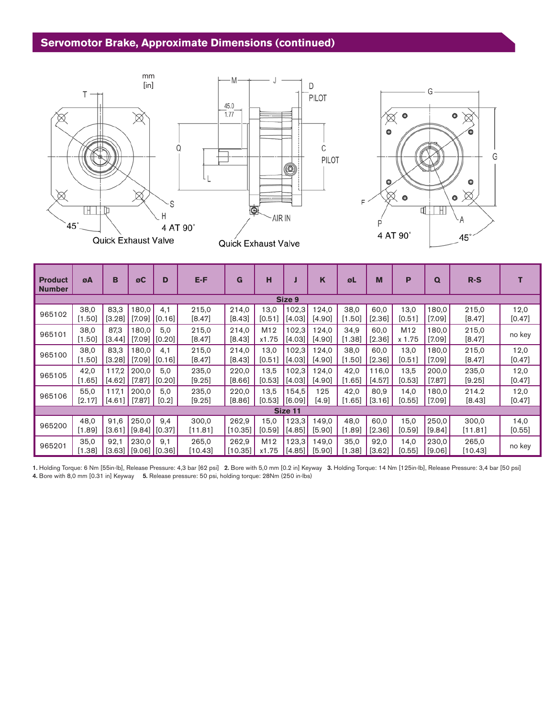## **Servomotor Brake, Approximate Dimensions (continued)**



| <b>Product</b><br><b>Number</b> | øΑ             | в               | øC                       | D                        | E-F               | G                 | н                        |                   | K               | øL               | M                | P              | $\Omega$          | $R-S$             |                  |
|---------------------------------|----------------|-----------------|--------------------------|--------------------------|-------------------|-------------------|--------------------------|-------------------|-----------------|------------------|------------------|----------------|-------------------|-------------------|------------------|
| Size 9                          |                |                 |                          |                          |                   |                   |                          |                   |                 |                  |                  |                |                   |                   |                  |
| 965102                          | 38,0<br>[1.50] | 83,3<br>[3.28]  | 180,0                    | 4.1<br>$[7.09]$ $[0.16]$ | 215,0<br>[8.47]   | 214,0<br>[8.43]   | 13,0<br>[0.51]           | 102,3<br>$[4.03]$ | 124,0<br>[4.90] | 38,0<br>[1.50]   | 60,0<br>$[2.36]$ | 13,0<br>[0.51] | 0.081<br>[7.09]   | 215,0<br>$[8.47]$ | 12,0<br>$[0.47]$ |
| 965101                          | 38,0<br>[1.50] | 87,3<br>[3.44]  | 180.0<br>[7.09]          | 5.0<br>[0.20]            | 215,0<br>[8.47]   | 214,0<br>[8.43]   | M <sub>12</sub><br>x1.75 | 102.3<br>[4.03]   | 124.0<br>[4.90] | 34,9<br>[1.38]   | 60,0<br>$[2.36]$ | M12<br>x 1.75  | 180.0<br>$[7.09]$ | 215,0<br>$[8.47]$ | no key           |
| 965100                          | 38,0<br>[1.50] | 83,3<br>[3.28]  | 180.0<br>[7.09]          | 4.1<br>[0.16]            | 215,0<br>[8.47]   | 214,0<br>[8.43]   | 13,0<br>[0.51]           | 102,3<br>[4.03]   | 124,0<br>[4.90] | 38,0<br>[1.50]   | 60,0<br>[2.36]   | 13,0<br>[0.51] | 180.0<br>$[7.09]$ | 215,0<br>[8.47]   | 12,0<br>[0.47]   |
| 965105                          | 42,0<br>[1.65] | 117,2<br>[4.62] | 200,0<br>$[7.87]$        | 5.0<br>[0.20]            | 235,0<br>[9.25]   | 220,0<br>$[8.66]$ | 13,5<br>[0.53]           | 102,3<br>$[4.03]$ | 124,0<br>[4.90] | 42,0<br>[1.65]   | 116,0<br>[4.57]  | 13,5<br>[0.53] | 200.0<br>[7.87]   | 235,0<br>[9.25]   | 12,0<br>[0.47]   |
| 965106                          | 55,0<br>[2.17] | 117.1<br>[4.61] | 200.0<br>$[7.87]$        | 5.0<br>[0.2]             | 235,0<br>$[9.25]$ | 220,0<br>[8.86]   | 13.5<br>[0.53]           | 154.5<br>l [6.09] | 125<br>[4.9]    | 42,0<br>[1.65]   | 80,9<br>[3.16]   | 14,0<br>[0.55] | 180.0<br>$[7.09]$ | 214.2<br>[8.43]   | 12,0<br>[0.47]   |
|                                 |                |                 |                          |                          |                   |                   |                          | Size 11           |                 |                  |                  |                |                   |                   |                  |
| 965200                          | 48,0<br>[1.89] | 91.6<br>[3.61]  | 250.0<br>$[9.84]$ [0.37] | 9.4                      | 300,0<br>[11.81]  | 262,9<br>[10.35]  | 15.0<br>[0.59]           | 123.3<br>[4.85]   | 149.0<br>[5,90] | 48,0<br>$[1.89]$ | 60,0<br>[2.36]   | 15,0<br>[0.59] | 250,0<br>[9.84]   | 300,0<br>[11.81]  | 14,0<br>[0.55]   |
| 965201                          | 35,0<br>[1.38] | 92,1<br>[3.63]  | 230,0<br>$[9.06]$ [0.36] | 9.1                      | 265,0<br>[10.43]  | 262,9<br>[10.35]  | M <sub>12</sub><br>x1.75 | 123,3<br>[4.85]   | 149,0<br>[5.90] | 35,0<br>.381     | 92,0<br>[3.62]   | 14,0<br>[0.55] | 230,0<br>[9.06]   | 265,0<br>[10.43]  | no key           |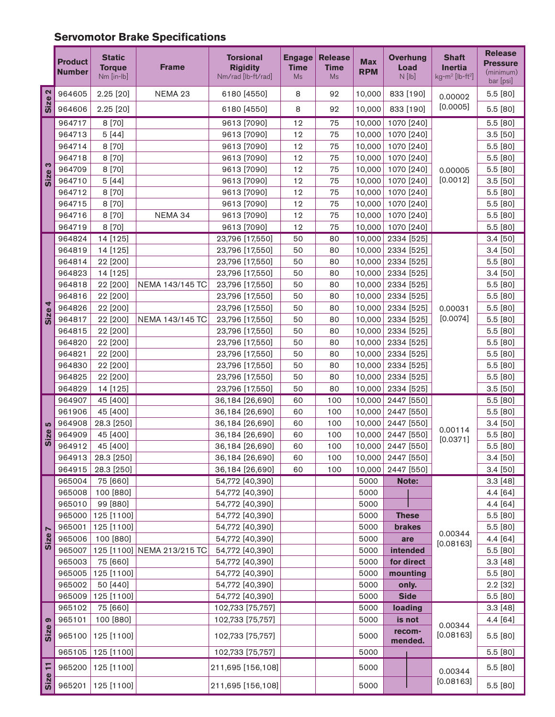# **Servomotor Brake Specifications**

|                       | <b>Product</b><br><b>Number</b> | <b>Static</b><br><b>Torque</b><br>Nm [in-lb] | <b>Frame</b>               | <b>Torsional</b><br><b>Rigidity</b><br>Nm/rad [lb-ft/rad] | <b>Engage</b><br><b>Time</b><br>Ms | <b>Release</b><br><b>Time</b><br><b>Ms</b> | <b>Max</b><br><b>RPM</b> | <b>Overhung</b><br>Load<br>$N$ [lb] | <b>Shaft</b><br><b>Inertia</b><br>$kg$ -m <sup>2</sup> [lb-ft <sup>2</sup> ] | <b>Release</b><br><b>Pressure</b><br>(minimum)<br>bar [psi] |
|-----------------------|---------------------------------|----------------------------------------------|----------------------------|-----------------------------------------------------------|------------------------------------|--------------------------------------------|--------------------------|-------------------------------------|------------------------------------------------------------------------------|-------------------------------------------------------------|
| $\mathbf{\Omega}$     | 964605                          | 2.25 [20]                                    | NEMA 23                    | 6180 [4550]                                               | 8                                  | 92                                         | 10,000                   | 833 [190]                           | 0.00002                                                                      | 5.5 [80]                                                    |
| Size                  | 964606                          | 2.25 [20]                                    |                            | 6180 [4550]                                               | 8                                  | 92                                         | 10,000                   | 833 [190]                           | [0.0005]                                                                     | 5.5 [80]                                                    |
|                       | 964717                          | 8 [70]                                       |                            | 9613 [7090]                                               | 12                                 | 75                                         | 10,000                   | 1070 [240]                          |                                                                              | 5.5 [80]                                                    |
|                       | 964713                          | 5[44]                                        |                            | 9613 [7090]                                               | 12                                 | 75                                         | 10,000                   | 1070 [240]                          |                                                                              | 3.5 [50]                                                    |
|                       | 964714                          | 8 [70]                                       |                            | 9613 [7090]                                               | 12                                 | 75                                         | 10,000                   | 1070 [240]                          |                                                                              | 5.5 [80]                                                    |
|                       | 964718                          | 8 [70]                                       |                            | 9613 [7090]                                               | 12                                 | 75                                         | 10,000                   | 1070 [240]                          |                                                                              | 5.5 [80]                                                    |
| S<br>Size             | 964709                          | 8 [70]                                       |                            | 9613 [7090]                                               | 12                                 | 75                                         | 10,000                   | 1070 [240]                          | 0.00005                                                                      | 5.5 [80]                                                    |
|                       | 964710                          | 5[44]                                        |                            | 9613 [7090]                                               | 12                                 | 75                                         | 10,000                   | 1070 [240]                          | [0.0012]                                                                     | 3.5 [50]                                                    |
|                       | 964712                          | 8 [70]                                       |                            | 9613 [7090]                                               | 12                                 | 75                                         | 10,000                   | 1070 [240]                          |                                                                              | 5.5 [80]                                                    |
|                       | 964715                          | 8 [70]                                       |                            | 9613 [7090]                                               | 12                                 | 75                                         | 10,000                   | 1070 [240]                          |                                                                              | 5.5 [80]                                                    |
|                       | 964716                          | 8 [70]                                       | NEMA 34                    | 9613 [7090]                                               | 12                                 | 75                                         | 10,000                   | 1070 [240]                          |                                                                              | 5.5 [80]                                                    |
|                       | 964719                          | 8 [70]                                       |                            | 9613 [7090]                                               | 12                                 | 75                                         | 10,000                   | 1070 [240]                          |                                                                              | 5.5 [80]                                                    |
|                       | 964824                          | 14 [125]                                     |                            | 23,796 [17,550]                                           | 50                                 | 80                                         | 10,000                   | 2334 [525]                          |                                                                              | 3.4 [50]                                                    |
|                       | 964819                          | 14 [125]                                     |                            | 23,796 [17,550]                                           | 50                                 | 80                                         | 10,000                   | 2334 [525]                          |                                                                              | 3.4 [50]                                                    |
|                       | 964814                          | 22 [200]                                     |                            | 23,796 [17,550]                                           | 50                                 | 80                                         | 10,000                   | 2334 [525]                          |                                                                              | 5.5 [80]                                                    |
|                       | 964823                          | 14 [125]                                     |                            | 23,796 [17,550]                                           | 50                                 | 80                                         | 10,000                   | 2334 [525]                          |                                                                              | 3.4 [50]                                                    |
|                       | 964818                          | 22 [200]                                     | NEMA 143/145 TC            | 23,796 [17,550]                                           | 50                                 | 80                                         | 10,000                   | 2334 [525]                          |                                                                              | 5.5 [80]                                                    |
|                       | 964816                          | 22 [200]                                     |                            | 23,796 [17,550]                                           | 50                                 | 80                                         | 10,000                   | 2334 [525]                          |                                                                              | 5.5 [80]                                                    |
| 4                     | 964826                          | 22 [200]                                     |                            | 23,796 [17,550]                                           | 50                                 | 80                                         | 10,000                   | 2334 [525]                          | 0.00031                                                                      | 5.5 [80]                                                    |
| Size                  | 964817                          | 22 [200]                                     | NEMA 143/145 TC            | 23,796 [17,550]                                           | 50                                 | 80                                         | 10,000                   | 2334 [525]                          | [0.0074]                                                                     | 5.5 [80]                                                    |
|                       | 964815                          | 22 [200]                                     |                            | 23,796 [17,550]                                           | 50                                 | 80                                         | 10,000                   | 2334 [525]                          |                                                                              | 5.5 [80]                                                    |
|                       | 964820                          | 22 [200]                                     |                            | 23,796 [17,550]                                           | 50                                 | 80                                         | 10,000                   | 2334 [525]                          |                                                                              | 5.5 [80]                                                    |
|                       | 964821                          | 22 [200]                                     |                            | 23,796 [17,550]                                           | 50                                 | 80                                         | 10,000                   | 2334 [525]                          |                                                                              | 5.5 [80]                                                    |
|                       | 964830                          | 22 [200]                                     |                            | 23,796 [17,550]                                           | 50                                 | 80                                         | 10,000                   | 2334 [525]                          |                                                                              | 5.5 [80]                                                    |
|                       | 964825                          | 22 [200]                                     |                            | 23,796 [17,550]                                           | 50                                 | 80                                         | 10,000                   | 2334 [525]                          |                                                                              | 5.5 [80]                                                    |
|                       | 964829                          | 14 [125]                                     |                            | 23,796 [17,550]                                           | 50                                 | 80                                         | 10,000                   | 2334 [525]                          |                                                                              | 3.5 [50]                                                    |
|                       | 964907                          | 45 [400]                                     |                            | 36,184 [26,690]                                           | 60                                 | 100                                        | 10,000                   | 2447 [550]                          |                                                                              | 5.5 [80]                                                    |
|                       | 961906                          | 45 [400]                                     |                            | 36,184 [26,690]                                           | 60                                 | 100                                        | 10,000                   | 2447 [550]                          |                                                                              | 5.5 [80]                                                    |
| 5                     | 964908                          | 28.3 [250]                                   |                            | 36,184 [26,690]                                           | 60                                 | 100                                        | 10,000                   | 2447 [550]                          | 0.00114                                                                      | 3.4 [50]                                                    |
| Size                  | 964909                          | 45 [400]                                     |                            | 36,184 [26,690]                                           | 60                                 | 100                                        | 10,000                   | 2447 [550]                          | [0.0371]                                                                     | 5.5 [80]                                                    |
|                       | 964912                          | 45 [400]                                     |                            | 36,184 [26,690]                                           | 60                                 | 100                                        | 10,000                   | 2447 [550]                          |                                                                              | 5.5 [80]                                                    |
|                       | 964913                          | 28.3 [250]                                   |                            | 36,184 [26,690]                                           | 60                                 | 100                                        |                          | 10,000 2447 [550]                   |                                                                              | 3.4 [50]                                                    |
|                       | 964915                          | 28.3 [250]                                   |                            | 36,184 [26,690]                                           | 60                                 | 100                                        | 10,000                   | 2447 [550]                          |                                                                              | 3.4 [50]                                                    |
|                       | 965004                          | 75 [660]                                     |                            | 54,772 [40,390]                                           |                                    |                                            | 5000                     | Note:                               |                                                                              | 3.3[48]                                                     |
|                       | 965008                          | 100 [880]                                    |                            | 54,772 [40,390]                                           |                                    |                                            | 5000                     |                                     |                                                                              | 4.4 [64]                                                    |
|                       | 965010                          | 99 [880]                                     |                            | 54,772 [40,390]                                           |                                    |                                            | 5000                     |                                     |                                                                              | 4.4 [64]                                                    |
|                       | 965000                          | 125 [1100]                                   |                            | 54,772 [40,390]                                           |                                    |                                            | 5000                     | <b>These</b>                        |                                                                              | 5.5 [80]                                                    |
| $\blacktriangleright$ | 965001                          | 125 [1100]                                   |                            | 54,772 [40,390]                                           |                                    |                                            | 5000                     | brakes                              | 0.00344                                                                      | 5.5 [80]                                                    |
| Size                  | 965006<br>965007                | 100 [880]                                    | 125 [1100] NEMA 213/215 TC | 54,772 [40,390]<br>54,772 [40,390]                        |                                    |                                            | 5000<br>5000             | are<br>intended                     | [0.08163]                                                                    | 4.4 [64]<br>5.5 [80]                                        |
|                       | 965003                          | 75 [660]                                     |                            | 54,772 [40,390]                                           |                                    |                                            | 5000                     | for direct                          |                                                                              | 3.3[48]                                                     |
|                       | 965005                          | 125 [1100]                                   |                            | 54,772 [40,390]                                           |                                    |                                            | 5000                     | mounting                            |                                                                              | 5.5 [80]                                                    |
|                       | 965002                          | 50 [440]                                     |                            | 54,772 [40,390]                                           |                                    |                                            | 5000                     | only.                               |                                                                              | 2.2 [32]                                                    |
|                       | 965009                          | 125 [1100]                                   |                            | 54,772 [40,390]                                           |                                    |                                            | 5000                     | <b>Side</b>                         |                                                                              | 5.5 [80]                                                    |
|                       | 965102                          | 75 [660]                                     |                            | 102,733 [75,757]                                          |                                    |                                            | 5000                     | loading                             |                                                                              | 3.3[48]                                                     |
| ၜ                     | 965101                          | 100 [880]                                    |                            | 102,733 [75,757]                                          |                                    |                                            | 5000                     | is not                              |                                                                              | 4.4 [64]                                                    |
| Size                  |                                 |                                              |                            |                                                           |                                    |                                            |                          | recom-                              | 0.00344                                                                      |                                                             |
|                       | 965100                          | 125 [1100]                                   |                            | 102,733 [75,757]                                          |                                    |                                            | 5000                     | mended.                             | [0.08163]                                                                    | 5.5 [80]                                                    |
|                       | 965105                          | $125$ [1100]                                 |                            | 102,733 [75,757]                                          |                                    |                                            | 5000                     |                                     |                                                                              | 5.5 [80]                                                    |
| H                     | 965200                          | 125 [1100]                                   |                            | 211,695 [156,108]                                         |                                    |                                            | 5000                     |                                     | 0.00344                                                                      | 5.5 [80]                                                    |
| <b>Size</b>           | 965201                          | 125 [1100]                                   |                            | 211,695 [156,108]                                         |                                    |                                            | 5000                     |                                     | [0.08163]                                                                    | 5.5 [80]                                                    |